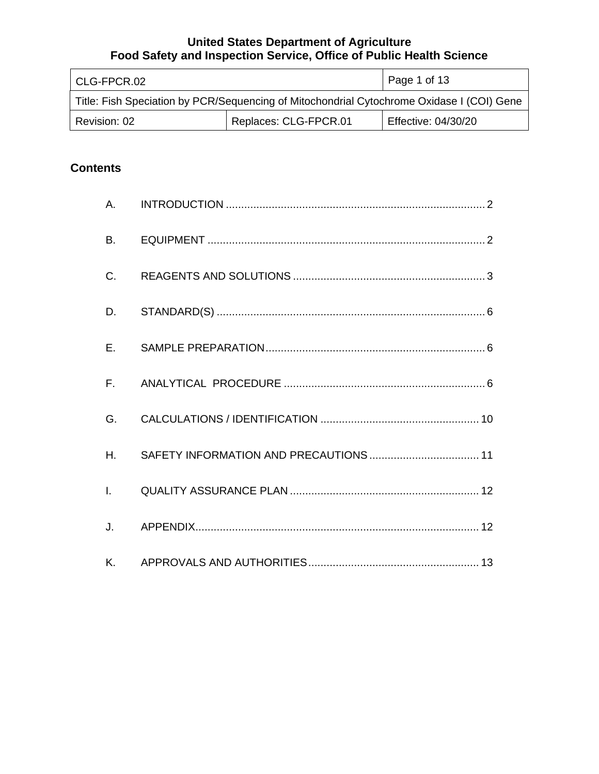| l CLG-FPCR.02                                                                             |                       | Page 1 of 13        |
|-------------------------------------------------------------------------------------------|-----------------------|---------------------|
| Title: Fish Speciation by PCR/Sequencing of Mitochondrial Cytochrome Oxidase I (COI) Gene |                       |                     |
| Revision: 02                                                                              | Replaces: CLG-FPCR.01 | Effective: 04/30/20 |

# **Contents**

| A.           |  |
|--------------|--|
| <b>B.</b>    |  |
| C.           |  |
| D.           |  |
| $E_{\rm{r}}$ |  |
| $F_{\rm{H}}$ |  |
| G.           |  |
| H.           |  |
| $\mathbf{L}$ |  |
| J.           |  |
| Κ.           |  |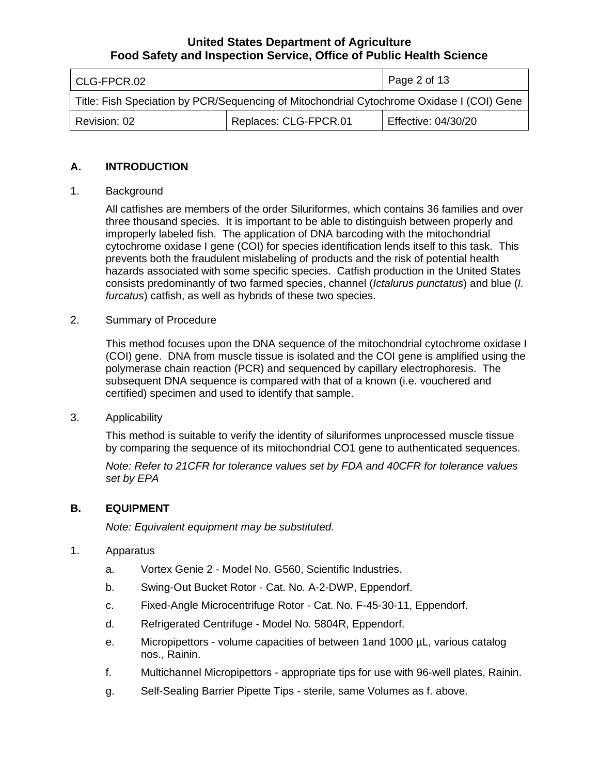| l CLG-FPCR.02                                                                             |                       | Page 2 of 13        |
|-------------------------------------------------------------------------------------------|-----------------------|---------------------|
| Title: Fish Speciation by PCR/Sequencing of Mitochondrial Cytochrome Oxidase I (COI) Gene |                       |                     |
| Revision: 02                                                                              | Replaces: CLG-FPCR.01 | Effective: 04/30/20 |

#### **A. INTRODUCTION**

#### 1. Background

 All catfishes are members of the order Siluriformes, which contains 36 families and over three thousand species. It is important to be able to distinguish between properly and improperly labeled fish. The application of DNA barcoding with the mitochondrial cytochrome oxidase I gene (COI) for species identification lends itself to this task. This prevents both the fraudulent mislabeling of products and the risk of potential health hazards associated with some specific species. Catfish production in the United States consists predominantly of two farmed species, channel (*Ictalurus punctatus*) and blue (*I. furcatus*) catfish, as well as hybrids of these two species.

#### 2. Summary of Procedure

 This method focuses upon the DNA sequence of the mitochondrial cytochrome oxidase I (COI) gene. DNA from muscle tissue is isolated and the COI gene is amplified using the polymerase chain reaction (PCR) and sequenced by capillary electrophoresis. The subsequent DNA sequence is compared with that of a known (i.e. vouchered and certified) specimen and used to identify that sample.

#### 3. Applicability

 by comparing the sequence of its mitochondrial CO1 gene to authenticated sequences. This method is suitable to verify the identity of siluriformes unprocessed muscle tissue

 *Note: Refer to 21CFR for tolerance values set by FDA and 40CFR for tolerance values set by EPA* 

#### **B. EQUIPMENT**

 *Note: Equivalent equipment may be substituted.* 

#### 1. Apparatus

- a. Vortex Genie 2 Model No. G560, Scientific Industries.
- b. Swing-Out Bucket Rotor Cat. No. A-2-DWP, Eppendorf.
- c. Fixed-Angle Microcentrifuge Rotor Cat. No. F-45-30-11, Eppendorf.
- d. Refrigerated Centrifuge Model No. 5804R, Eppendorf.
- e. Micropipettors volume capacities of between 1and 1000 µL, various catalog nos., Rainin.
- f. Multichannel Micropipettors appropriate tips for use with 96-well plates, Rainin.
- g. Self-Sealing Barrier Pipette Tips sterile, same Volumes as f. above.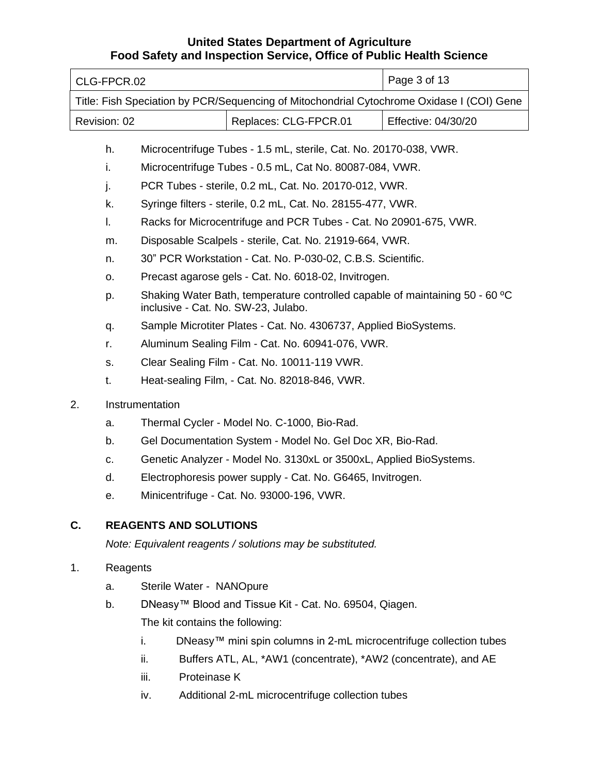|    | CLG-FPCR.02  |                                                            |                                                                                           | Page 3 of 13        |
|----|--------------|------------------------------------------------------------|-------------------------------------------------------------------------------------------|---------------------|
|    |              |                                                            | Title: Fish Speciation by PCR/Sequencing of Mitochondrial Cytochrome Oxidase I (COI) Gene |                     |
|    | Revision: 02 |                                                            | Replaces: CLG-FPCR.01                                                                     | Effective: 04/30/20 |
|    | h.           |                                                            | Microcentrifuge Tubes - 1.5 mL, sterile, Cat. No. 20170-038, VWR.                         |                     |
|    | i.           |                                                            | Microcentrifuge Tubes - 0.5 mL, Cat No. 80087-084, VWR.                                   |                     |
|    | j.           |                                                            | PCR Tubes - sterile, 0.2 mL, Cat. No. 20170-012, VWR.                                     |                     |
|    | k.           |                                                            | Syringe filters - sterile, 0.2 mL, Cat. No. 28155-477, VWR.                               |                     |
|    | I.           |                                                            | Racks for Microcentrifuge and PCR Tubes - Cat. No 20901-675, VWR.                         |                     |
|    | m.           |                                                            | Disposable Scalpels - sterile, Cat. No. 21919-664, VWR.                                   |                     |
|    | n.           |                                                            | 30" PCR Workstation - Cat. No. P-030-02, C.B.S. Scientific.                               |                     |
|    | 0.           |                                                            | Precast agarose gels - Cat. No. 6018-02, Invitrogen.                                      |                     |
|    |              |                                                            | Shaking Water Bath, temperature controlled capable of maintaining 50 - 60 °C              |                     |
|    | p.           | inclusive - Cat. No. SW-23, Julabo.                        |                                                                                           |                     |
|    | q.           |                                                            | Sample Microtiter Plates - Cat. No. 4306737, Applied BioSystems.                          |                     |
|    | r.           |                                                            | Aluminum Sealing Film - Cat. No. 60941-076, VWR.                                          |                     |
|    | S.           |                                                            | Clear Sealing Film - Cat. No. 10011-119 VWR.                                              |                     |
|    | t.           |                                                            | Heat-sealing Film, - Cat. No. 82018-846, VWR.                                             |                     |
| 2. |              | Instrumentation                                            |                                                                                           |                     |
|    | a.           |                                                            | Thermal Cycler - Model No. C-1000, Bio-Rad.                                               |                     |
|    | b.           |                                                            | Gel Documentation System - Model No. Gel Doc XR, Bio-Rad.                                 |                     |
|    | c.           |                                                            | Genetic Analyzer - Model No. 3130xL or 3500xL, Applied BioSystems.                        |                     |
|    | d.           | Electrophoresis power supply - Cat. No. G6465, Invitrogen. |                                                                                           |                     |
|    | е.           |                                                            | Minicentrifuge - Cat. No. 93000-196, VWR.                                                 |                     |
| C. |              | <b>REAGENTS AND SOLUTIONS</b>                              |                                                                                           |                     |
|    |              |                                                            | Note: Equivalent reagents / solutions may be substituted.                                 |                     |
|    |              |                                                            |                                                                                           |                     |
| 1. | Reagents     |                                                            |                                                                                           |                     |
|    | a.           | Sterile Water - NANOpure                                   |                                                                                           |                     |
|    | b.           |                                                            | DNeasy™ Blood and Tissue Kit - Cat. No. 69504, Qiagen.                                    |                     |
|    |              | The kit contains the following:                            |                                                                                           |                     |
|    |              | i.                                                         | DNeasy <sup>™</sup> mini spin columns in 2-mL microcentrifuge collection tubes            |                     |
|    |              | ii.                                                        | Buffers ATL, AL, *AW1 (concentrate), *AW2 (concentrate), and AE                           |                     |
|    |              | Proteinase K<br>iii.                                       |                                                                                           |                     |
|    |              | iv.                                                        | Additional 2-mL microcentrifuge collection tubes                                          |                     |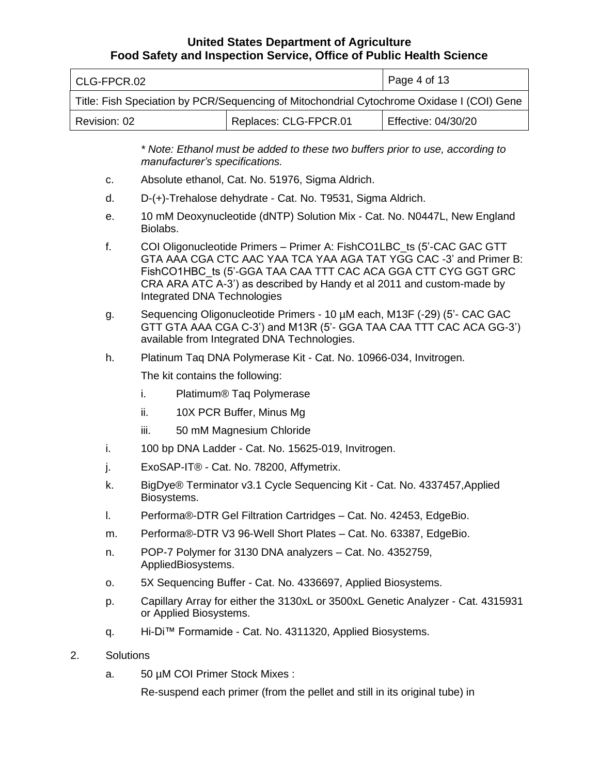|              |           | Food Safety and Inspection Service, Office of Public Health Science                                                                                                                                                                                                                                                        |                     |  |
|--------------|-----------|----------------------------------------------------------------------------------------------------------------------------------------------------------------------------------------------------------------------------------------------------------------------------------------------------------------------------|---------------------|--|
| CLG-FPCR.02  |           |                                                                                                                                                                                                                                                                                                                            | Page 4 of 13        |  |
|              |           | Title: Fish Speciation by PCR/Sequencing of Mitochondrial Cytochrome Oxidase I (COI) Gene                                                                                                                                                                                                                                  |                     |  |
| Revision: 02 |           | Replaces: CLG-FPCR.01                                                                                                                                                                                                                                                                                                      | Effective: 04/30/20 |  |
|              |           | * Note: Ethanol must be added to these two buffers prior to use, according to<br>manufacturer's specifications.                                                                                                                                                                                                            |                     |  |
| C.           |           | Absolute ethanol, Cat. No. 51976, Sigma Aldrich.                                                                                                                                                                                                                                                                           |                     |  |
| d.           |           | D-(+)-Trehalose dehydrate - Cat. No. T9531, Sigma Aldrich.                                                                                                                                                                                                                                                                 |                     |  |
| e.           | Biolabs.  | 10 mM Deoxynucleotide (dNTP) Solution Mix - Cat. No. N0447L, New England                                                                                                                                                                                                                                                   |                     |  |
| f.           |           | COI Oligonucleotide Primers - Primer A: FishCO1LBC ts (5'-CAC GAC GTT<br>GTA AAA CGA CTC AAC YAA TCA YAA AGA TAT YGG CAC -3' and Primer B:<br>FishCO1HBC ts (5'-GGA TAA CAA TTT CAC ACA GGA CTT CYG GGT GRC<br>CRA ARA ATC A-3') as described by Handy et al 2011 and custom-made by<br><b>Integrated DNA Technologies</b> |                     |  |
| g.           |           | Sequencing Oligonucleotide Primers - 10 µM each, M13F (-29) (5'- CAC GAC<br>GTT GTA AAA CGA C-3') and M13R (5'- GGA TAA CAA TTT CAC ACA GG-3')<br>available from Integrated DNA Technologies.                                                                                                                              |                     |  |
| h.           |           | Platinum Taq DNA Polymerase Kit - Cat. No. 10966-034, Invitrogen.                                                                                                                                                                                                                                                          |                     |  |
|              |           | The kit contains the following:                                                                                                                                                                                                                                                                                            |                     |  |
|              | i.        | Platimum <sup>®</sup> Taq Polymerase                                                                                                                                                                                                                                                                                       |                     |  |
|              | ii.       | 10X PCR Buffer, Minus Mg                                                                                                                                                                                                                                                                                                   |                     |  |
|              | iii.      | 50 mM Magnesium Chloride                                                                                                                                                                                                                                                                                                   |                     |  |
| i.           |           | 100 bp DNA Ladder - Cat. No. 15625-019, Invitrogen.                                                                                                                                                                                                                                                                        |                     |  |
| j.           |           | ExoSAP-IT® - Cat. No. 78200, Affymetrix.                                                                                                                                                                                                                                                                                   |                     |  |
| k.           |           | BigDye® Terminator v3.1 Cycle Sequencing Kit - Cat. No. 4337457, Applied<br>Biosystems.                                                                                                                                                                                                                                    |                     |  |
| I.           |           | Performa®-DTR Gel Filtration Cartridges - Cat. No. 42453, EdgeBio.                                                                                                                                                                                                                                                         |                     |  |
| m.           |           | Performa®-DTR V3 96-Well Short Plates - Cat. No. 63387, EdgeBio.                                                                                                                                                                                                                                                           |                     |  |
| n.           |           | POP-7 Polymer for 3130 DNA analyzers - Cat. No. 4352759,<br>AppliedBiosystems.                                                                                                                                                                                                                                             |                     |  |
| 0.           |           | 5X Sequencing Buffer - Cat. No. 4336697, Applied Biosystems.                                                                                                                                                                                                                                                               |                     |  |
| p.           |           | Capillary Array for either the 3130xL or 3500xL Genetic Analyzer - Cat. 4315931<br>or Applied Biosystems.                                                                                                                                                                                                                  |                     |  |
| q.           |           | Hi-Di™ Formamide - Cat. No. 4311320, Applied Biosystems.                                                                                                                                                                                                                                                                   |                     |  |
| 2.           | Solutions |                                                                                                                                                                                                                                                                                                                            |                     |  |

a. 50 µM COI Primer Stock Mixes :

Re-suspend each primer (from the pellet and still in its original tube) in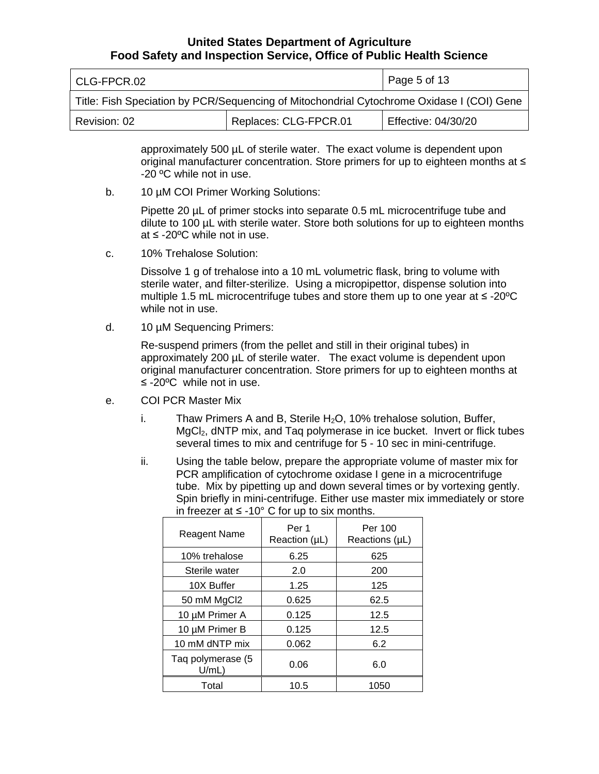| l CLG-FPCR.02                                                                             |                       | Page 5 of 13        |
|-------------------------------------------------------------------------------------------|-----------------------|---------------------|
| Title: Fish Speciation by PCR/Sequencing of Mitochondrial Cytochrome Oxidase I (COI) Gene |                       |                     |
| Revision: 02                                                                              | Replaces: CLG-FPCR.01 | Effective: 04/30/20 |

 approximately 500 µL of sterile water. The exact volume is dependent upon original manufacturer concentration. Store primers for up to eighteen months at ≤ -20 ºC while not in use.

b. 10 µM COI Primer Working Solutions:

 Pipette 20 µL of primer stocks into separate 0.5 mL microcentrifuge tube and dilute to 100 µL with sterile water. Store both solutions for up to eighteen months at ≤ -20ºC while not in use.

c. 10% Trehalose Solution:

 Dissolve 1 g of trehalose into a 10 mL volumetric flask, bring to volume with sterile water, and filter-sterilize. Using a micropipettor, dispense solution into multiple 1.5 mL microcentrifuge tubes and store them up to one year at ≤ -20ºC while not in use.

d. 10 µM Sequencing Primers:

 Re-suspend primers (from the pellet and still in their original tubes) in approximately 200 µL of sterile water. The exact volume is dependent upon original manufacturer concentration. Store primers for up to eighteen months at ≤ -20ºC while not in use.

- e. COI PCR Master Mix
	- i. Thaw Primers A and B, Sterile  $H_2O$ , 10% trehalose solution, Buffer, MgCl<sub>2</sub>, dNTP mix, and Taq polymerase in ice bucket. Invert or flick tubes several times to mix and centrifuge for 5 - 10 sec in mini-centrifuge.
	- ii. Using the table below, prepare the appropriate volume of master mix for PCR amplification of cytochrome oxidase I gene in a microcentrifuge tube. Mix by pipetting up and down several times or by vortexing gently. Spin briefly in mini-centrifuge. Either use master mix immediately or store in freezer at ≤ -10 $^{\circ}$  C for up to six months.

| <b>Reagent Name</b>        | Per 1<br>Reaction (µL) | Per 100<br>Reactions $(\mu L)$ |
|----------------------------|------------------------|--------------------------------|
| 10% trehalose              | 6.25                   | 625                            |
| Sterile water              | 2.0                    | 200                            |
| 10X Buffer                 | 1.25                   | 125                            |
| 50 mM MgCl2                | 0.625                  | 62.5                           |
| 10 µM Primer A             | 0.125                  | 12.5                           |
| 10 µM Primer B             | 0.125                  | 12.5                           |
| 10 mM dNTP mix             | 0.062                  | 6.2                            |
| Taq polymerase (5<br>U/mL) | 0.06                   | 6.0                            |
| Total                      | 10.5                   | 1050                           |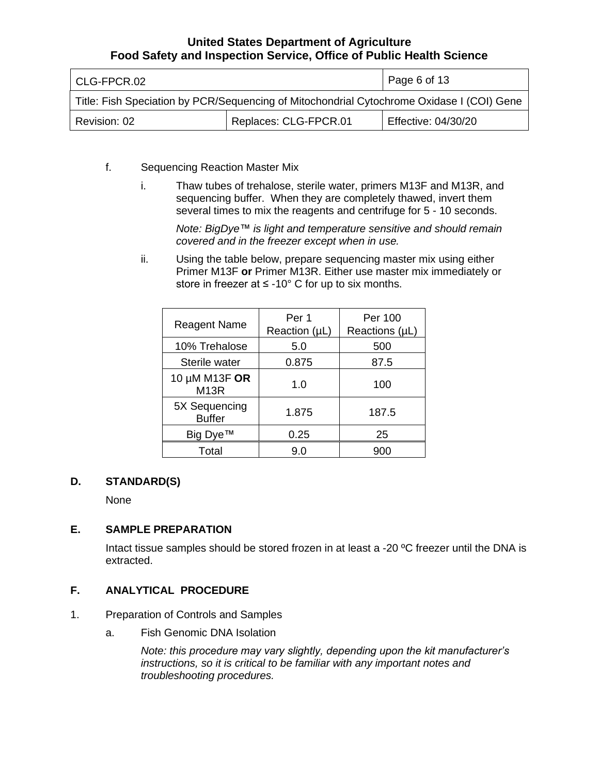| l CLG-FPCR.02                                                                             |                       | Page 6 of 13        |
|-------------------------------------------------------------------------------------------|-----------------------|---------------------|
| Title: Fish Speciation by PCR/Sequencing of Mitochondrial Cytochrome Oxidase I (COI) Gene |                       |                     |
| Revision: 02                                                                              | Replaces: CLG-FPCR.01 | Effective: 04/30/20 |

- f. Sequencing Reaction Master Mix
	- i. Thaw tubes of trehalose, sterile water, primers M13F and M13R, and sequencing buffer. When they are completely thawed, invert them several times to mix the reagents and centrifuge for 5 - 10 seconds.

 *Note: BigDye™ is light and temperature sensitive and should remain covered and in the freezer except when in use.* 

 ii. Using the table below, prepare sequencing master mix using either store in freezer at  $\leq$  -10° C for up to six months. Primer M13F **or** Primer M13R. Either use master mix immediately or

| <b>Reagent Name</b>                | Per 1<br>Reaction (µL) | Per 100<br>Reactions (µL) |
|------------------------------------|------------------------|---------------------------|
| 10% Trehalose                      | 5.0                    | 500                       |
| Sterile water                      | 0.875                  | 87.5                      |
| 10 μM M13F OR<br>M <sub>13</sub> R | 1.0                    | 100                       |
| 5X Sequencing<br><b>Buffer</b>     | 1.875                  | 187.5                     |
| Big Dye™                           | 0.25                   | 25                        |
| Total                              | 9.0                    | 900                       |

### **D. STANDARD(S)**

None

#### **E. SAMPLE PREPARATION**

Intact tissue samples should be stored frozen in at least a -20 °C freezer until the DNA is extracted.

### **F. ANALYTICAL PROCEDURE**

- 1. Preparation of Controls and Samples
	- a. Fish Genomic DNA Isolation

 *Note: this procedure may vary slightly, depending upon the kit manufacturer's instructions, so it is critical to be familiar with any important notes and troubleshooting procedures.*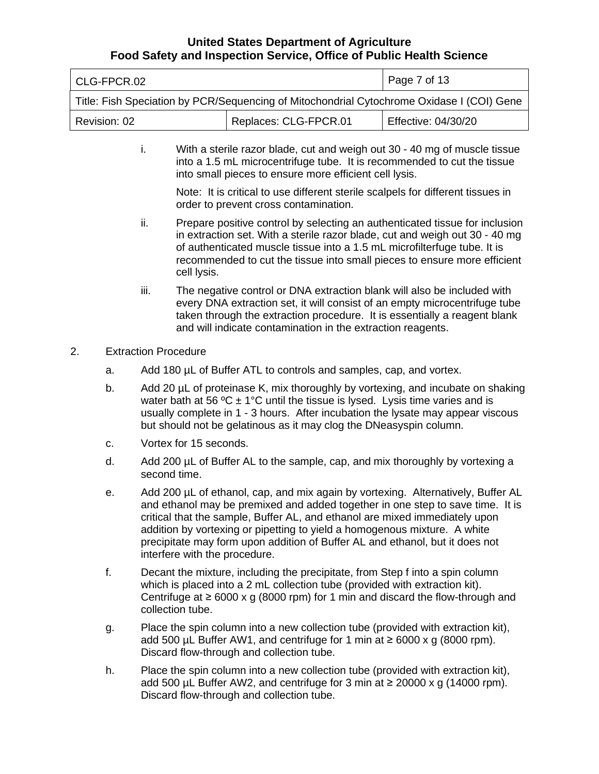| l CLG-FPCR.02                                                                             |                       | Page 7 of 13        |
|-------------------------------------------------------------------------------------------|-----------------------|---------------------|
| Title: Fish Speciation by PCR/Sequencing of Mitochondrial Cytochrome Oxidase I (COI) Gene |                       |                     |
| Revision: 02                                                                              | Replaces: CLG-FPCR.01 | Effective: 04/30/20 |

 i. With a sterile razor blade, cut and weigh out 30 - 40 mg of muscle tissue into a 1.5 mL microcentrifuge tube. It is recommended to cut the tissue into small pieces to ensure more efficient cell lysis.

 Note: It is critical to use different sterile scalpels for different tissues in order to prevent cross contamination.

- ii. Prepare positive control by selecting an authenticated tissue for inclusion in extraction set. With a sterile razor blade, cut and weigh out 30 - 40 mg of authenticated muscle tissue into a 1.5 mL microfilterfuge tube. It is recommended to cut the tissue into small pieces to ensure more efficient cell lysis.
- iii. The negative control or DNA extraction blank will also be included with every DNA extraction set, it will consist of an empty microcentrifuge tube taken through the extraction procedure. It is essentially a reagent blank and will indicate contamination in the extraction reagents.
- 2. Extraction Procedure
	- a. Add 180 µL of Buffer ATL to controls and samples, cap, and vortex.
	- b. Add 20 µL of proteinase K, mix thoroughly by vortexing, and incubate on shaking water bath at 56 °C  $\pm$  1°C until the tissue is lysed. Lysis time varies and is usually complete in 1 - 3 hours. After incubation the lysate may appear viscous but should not be gelatinous as it may clog the DNeasyspin column.
	- c. Vortex for 15 seconds.
	- d. Add 200 µL of Buffer AL to the sample, cap, and mix thoroughly by vortexing a second time.
	- e. Add 200 µL of ethanol, cap, and mix again by vortexing. Alternatively, Buffer AL and ethanol may be premixed and added together in one step to save time. It is critical that the sample, Buffer AL, and ethanol are mixed immediately upon addition by vortexing or pipetting to yield a homogenous mixture. A white precipitate may form upon addition of Buffer AL and ethanol, but it does not interfere with the procedure.
	- f. Decant the mixture, including the precipitate, from Step f into a spin column which is placed into a 2 mL collection tube (provided with extraction kit). Centrifuge at ≥ 6000 x g (8000 rpm) for 1 min and discard the flow-through and collection tube.
	- g. Place the spin column into a new collection tube (provided with extraction kit), add 500 µL Buffer AW1, and centrifuge for 1 min at  $\geq 6000 \times g$  (8000 rpm). Discard flow-through and collection tube.
	- h. Place the spin column into a new collection tube (provided with extraction kit), add 500 µL Buffer AW2, and centrifuge for 3 min at  $\geq$  20000 x g (14000 rpm). Discard flow-through and collection tube.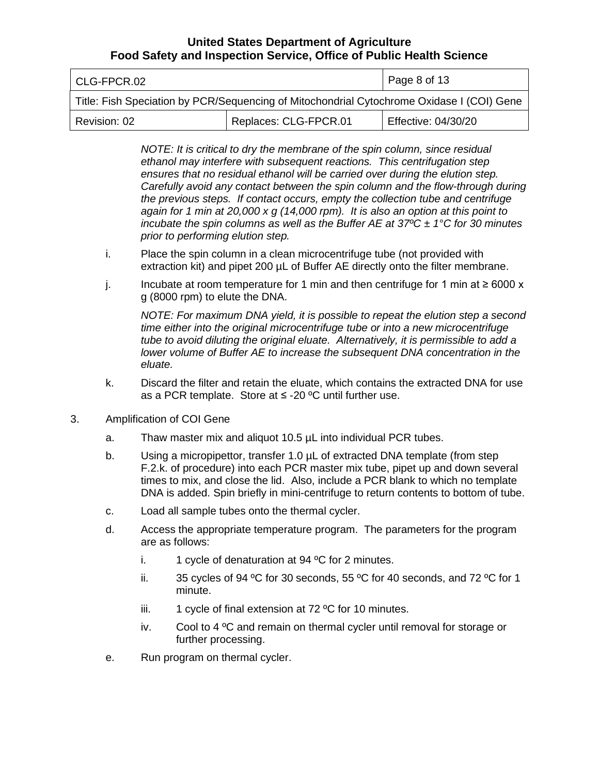| l CLG-FPCR.02                                                                             |                       | Page 8 of 13        |
|-------------------------------------------------------------------------------------------|-----------------------|---------------------|
| Title: Fish Speciation by PCR/Sequencing of Mitochondrial Cytochrome Oxidase I (COI) Gene |                       |                     |
| Revision: 02                                                                              | Replaces: CLG-FPCR.01 | Effective: 04/30/20 |

 *NOTE: It is critical to dry the membrane of the spin column, since residual ethanol may interfere with subsequent reactions. This centrifugation step*  ensures that no residual ethanol will be carried over during the elution step. Carefully avoid any contact between the spin column and the flow-through during  *the previous steps. If contact occurs, empty the collection tube and centrifuge again for 1 min at 20,000 x g (14,000 rpm). It is also an option at this point to incubate the spin columns as well as the Buffer AE at 37ºC ± 1°C for 30 minutes prior to performing elution step.* 

- i. Place the spin column in a clean microcentrifuge tube (not provided with extraction kit) and pipet 200 µL of Buffer AE directly onto the filter membrane.
- j. Incubate at room temperature for 1 min and then centrifuge for 1 min at ≥ 6000 x g (8000 rpm) to elute the DNA.

 *NOTE: For maximum DNA yield, it is possible to repeat the elution step a second time either into the original microcentrifuge tube or into a new microcentrifuge*  tube to avoid diluting the original eluate. Alternatively, it is permissible to add a lower volume of Buffer AE to increase the subsequent DNA concentration in the  *eluate.* 

- k. Discard the filter and retain the eluate, which contains the extracted DNA for use as a PCR template. Store at  $\leq$  -20 °C until further use.
- 3. Amplification of COI Gene
	- a. Thaw master mix and aliquot 10.5 µL into individual PCR tubes.
	- b. Using a micropipettor, transfer 1.0 µL of extracted DNA template (from step F.2.k. of procedure) into each PCR master mix tube, pipet up and down several times to mix, and close the lid. Also, include a PCR blank to which no template DNA is added. Spin briefly in mini-centrifuge to return contents to bottom of tube.
	- c. Load all sample tubes onto the thermal cycler.
	- d. Access the appropriate temperature program. The parameters for the program are as follows:
		- i. 1 cycle of denaturation at  $94 °C$  for 2 minutes.
		- ii. 35 cycles of 94 °C for 30 seconds, 55 °C for 40 seconds, and 72 °C for 1 minute.
		- iii. 1 cycle of final extension at  $72$  °C for 10 minutes.
		- iv. Cool to 4 °C and remain on thermal cycler until removal for storage or further processing.
	- e. Run program on thermal cycler.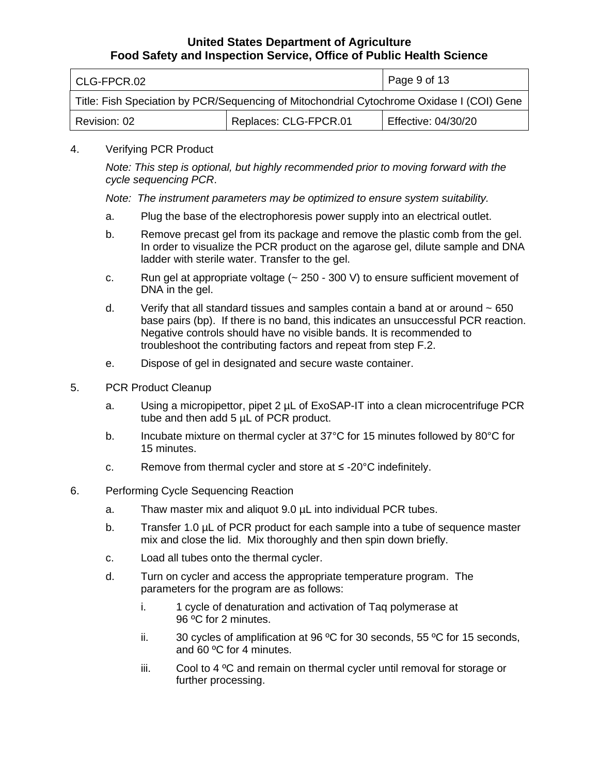| l CLG-FPCR.02                                                                             |                       | $\vert$ Page 9 of 13 |
|-------------------------------------------------------------------------------------------|-----------------------|----------------------|
| Title: Fish Speciation by PCR/Sequencing of Mitochondrial Cytochrome Oxidase I (COI) Gene |                       |                      |
| Revision: 02                                                                              | Replaces: CLG-FPCR.01 | Effective: 04/30/20  |

#### 4. Verifying PCR Product

 *Note: This step is optional, but highly recommended prior to moving forward with the cycle sequencing PCR*.

 *Note: The instrument parameters may be optimized to ensure system suitability.* 

- a. Plug the base of the electrophoresis power supply into an electrical outlet.
- b. Remove precast gel from its package and remove the plastic comb from the gel. In order to visualize the PCR product on the agarose gel, dilute sample and DNA ladder with sterile water. Transfer to the gel.
- c. Run gel at appropriate voltage (~ 250 300 V) to ensure sufficient movement of DNA in the gel.
- d. Verify that all standard tissues and samples contain a band at or around  $\sim 650$  base pairs (bp). If there is no band, this indicates an unsuccessful PCR reaction. troubleshoot the contributing factors and repeat from step F.2. Negative controls should have no visible bands. It is recommended to
- e. Dispose of gel in designated and secure waste container.
- 5. PCR Product Cleanup
	- a. Using a micropipettor, pipet 2 µL of ExoSAP-IT into a clean microcentrifuge PCR tube and then add 5 µL of PCR product.
	- b. Incubate mixture on thermal cycler at 37°C for 15 minutes followed by 80°C for 15 minutes.
	- c. Remove from thermal cycler and store at  $\leq$  -20°C indefinitely.
- 6. Performing Cycle Sequencing Reaction
	- a. Thaw master mix and aliquot 9.0 µL into individual PCR tubes.
	- b. Transfer 1.0 µL of PCR product for each sample into a tube of sequence master mix and close the lid. Mix thoroughly and then spin down briefly.
	- c. Load all tubes onto the thermal cycler.
	- d. Turn on cycler and access the appropriate temperature program. The parameters for the program are as follows:
		- i. 1 cycle of denaturation and activation of Taq polymerase at 96 ºC for 2 minutes.
		- ii. 30 cycles of amplification at 96  $\mathrm{^{\circ}C}$  for 30 seconds, 55  $\mathrm{^{\circ}C}$  for 15 seconds, and 60 ºC for 4 minutes.
		- iii. Cool to  $4\,^{\circ}$ C and remain on thermal cycler until removal for storage or further processing.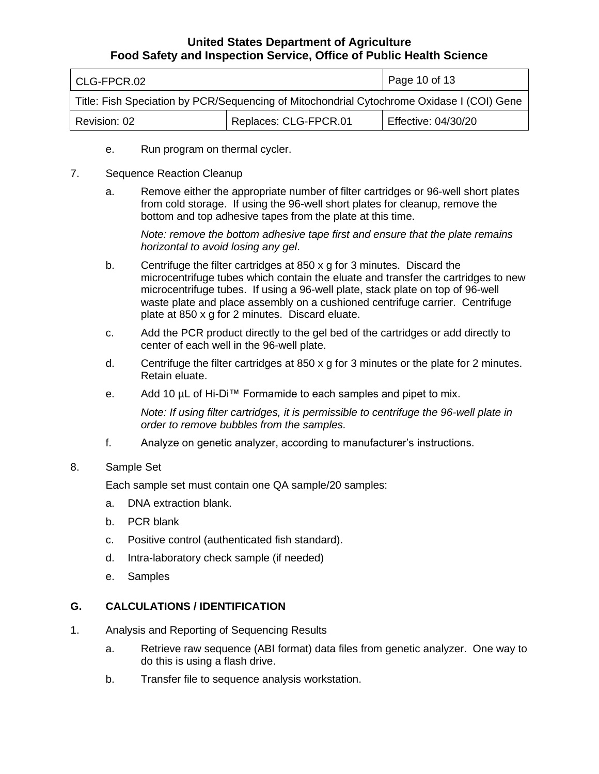| l CLG-FPCR.02                                                                             |                       | Page 10 of 13       |
|-------------------------------------------------------------------------------------------|-----------------------|---------------------|
| Title: Fish Speciation by PCR/Sequencing of Mitochondrial Cytochrome Oxidase I (COI) Gene |                       |                     |
| Revision: 02                                                                              | Replaces: CLG-FPCR.01 | Effective: 04/30/20 |

- e. Run program on thermal cycler.
- 7. Sequence Reaction Cleanup
	- a. Remove either the appropriate number of filter cartridges or 96-well short plates from cold storage. If using the 96-well short plates for cleanup, remove the bottom and top adhesive tapes from the plate at this time.

 *Note: remove the bottom adhesive tape first and ensure that the plate remains horizontal to avoid losing any gel*.

- b. Centrifuge the filter cartridges at 850 x g for 3 minutes. Discard the microcentrifuge tubes which contain the eluate and transfer the cartridges to new microcentrifuge tubes. If using a 96-well plate, stack plate on top of 96-well waste plate and place assembly on a cushioned centrifuge carrier. Centrifuge plate at 850 x g for 2 minutes. Discard eluate.
- c. Add the PCR product directly to the gel bed of the cartridges or add directly to center of each well in the 96-well plate.
- d. Centrifuge the filter cartridges at 850 x g for 3 minutes or the plate for 2 minutes. Retain eluate.
- e. Add 10 µL of Hi-Di™ Formamide to each samples and pipet to mix.

 *Note: If using filter cartridges, it is permissible to centrifuge the 96-well plate in order to remove bubbles from the samples.* 

f. Analyze on genetic analyzer, according to manufacturer's instructions.

#### 8. Sample Set

Each sample set must contain one QA sample/20 samples:

- a. DNA extraction blank.
- b. PCR blank
- c. Positive control (authenticated fish standard).
- d. Intra-laboratory check sample (if needed)
- e. Samples

#### **G. CALCULATIONS / IDENTIFICATION**

- 1. Analysis and Reporting of Sequencing Results
	- a. Retrieve raw sequence (ABI format) data files from genetic analyzer. One way to do this is using a flash drive.
	- b. Transfer file to sequence analysis workstation.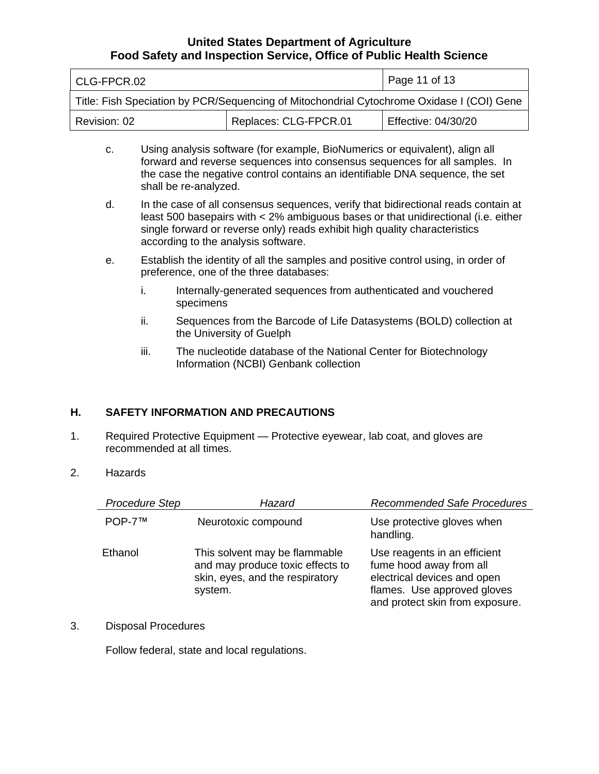| l CLG-FPCR.02                                                                             |                       | Page 11 of 13       |
|-------------------------------------------------------------------------------------------|-----------------------|---------------------|
| Title: Fish Speciation by PCR/Sequencing of Mitochondrial Cytochrome Oxidase I (COI) Gene |                       |                     |
| Revision: 02                                                                              | Replaces: CLG-FPCR.01 | Effective: 04/30/20 |

- c. Using analysis software (for example, BioNumerics or equivalent), align all forward and reverse sequences into consensus sequences for all samples. In the case the negative control contains an identifiable DNA sequence, the set shall be re-analyzed.
- d. In the case of all consensus sequences, verify that bidirectional reads contain at least 500 basepairs with < 2% ambiguous bases or that unidirectional (i.e. either single forward or reverse only) reads exhibit high quality characteristics according to the analysis software.
- e. Establish the identity of all the samples and positive control using, in order of preference, one of the three databases:
	- i. Internally-generated sequences from authenticated and vouchered specimens
	- ii. Sequences from the Barcode of Life Datasystems (BOLD) collection at the University of Guelph
	- iii. The nucleotide database of the National Center for Biotechnology Information (NCBI) Genbank collection

### **H. SAFETY INFORMATION AND PRECAUTIONS**

- 1. Required Protective Equipment Protective eyewear, lab coat, and gloves are recommended at all times.
- 2. Hazards

| <b>Procedure Step</b> | Hazard                                                                                                          | <b>Recommended Safe Procedures</b>                                                                                                                       |
|-----------------------|-----------------------------------------------------------------------------------------------------------------|----------------------------------------------------------------------------------------------------------------------------------------------------------|
| POP-7™                | Neurotoxic compound                                                                                             | Use protective gloves when<br>handling.                                                                                                                  |
| Ethanol               | This solvent may be flammable<br>and may produce toxic effects to<br>skin, eyes, and the respiratory<br>system. | Use reagents in an efficient<br>fume hood away from all<br>electrical devices and open<br>flames. Use approved gloves<br>and protect skin from exposure. |

3. Disposal Procedures

Follow federal, state and local regulations.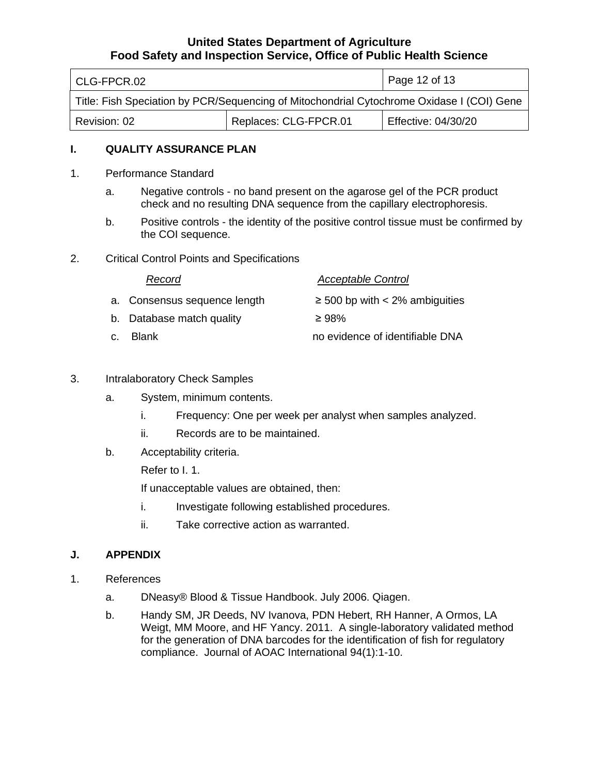| l CLG-FPCR.02                                                                             |                       | Page 12 of 13       |
|-------------------------------------------------------------------------------------------|-----------------------|---------------------|
| Title: Fish Speciation by PCR/Sequencing of Mitochondrial Cytochrome Oxidase I (COI) Gene |                       |                     |
| Revision: 02                                                                              | Replaces: CLG-FPCR.01 | Effective: 04/30/20 |

#### **I. QUALITY ASSURANCE PLAN**

- 1. Performance Standard
	- a. Negative controls no band present on the agarose gel of the PCR product check and no resulting DNA sequence from the capillary electrophoresis.
	- b. Positive controls the identity of the positive control tissue must be confirmed by the COI sequence.
- 2. Critical Control Points and Specifications

| Record                       | <b>Acceptable Control</b>           |
|------------------------------|-------------------------------------|
| a. Consensus sequence length | $\geq$ 500 bp with < 2% ambiguities |
| b. Database match quality    | $\geq$ 98%                          |
| c. Blank                     | no evidence of identifiable DNA     |

- 3. Intralaboratory Check Samples
	- a. System, minimum contents.
		- i. Frequency: One per week per analyst when samples analyzed.
		- ii. Records are to be maintained.
	- b. Acceptability criteria.

Refer to I. 1.

If unacceptable values are obtained, then:

- i. Investigate following established procedures.
- ii. Take corrective action as warranted.

#### **J. APPENDIX**

- 1. References
	- a. DNeasy® Blood & Tissue Handbook. July 2006. Qiagen.
	- b. Handy SM, JR Deeds, NV Ivanova, PDN Hebert, RH Hanner, A Ormos, LA Weigt, MM Moore, and HF Yancy. 2011. A single-laboratory validated method for the generation of DNA barcodes for the identification of fish for regulatory compliance. Journal of AOAC International 94(1):1-10.